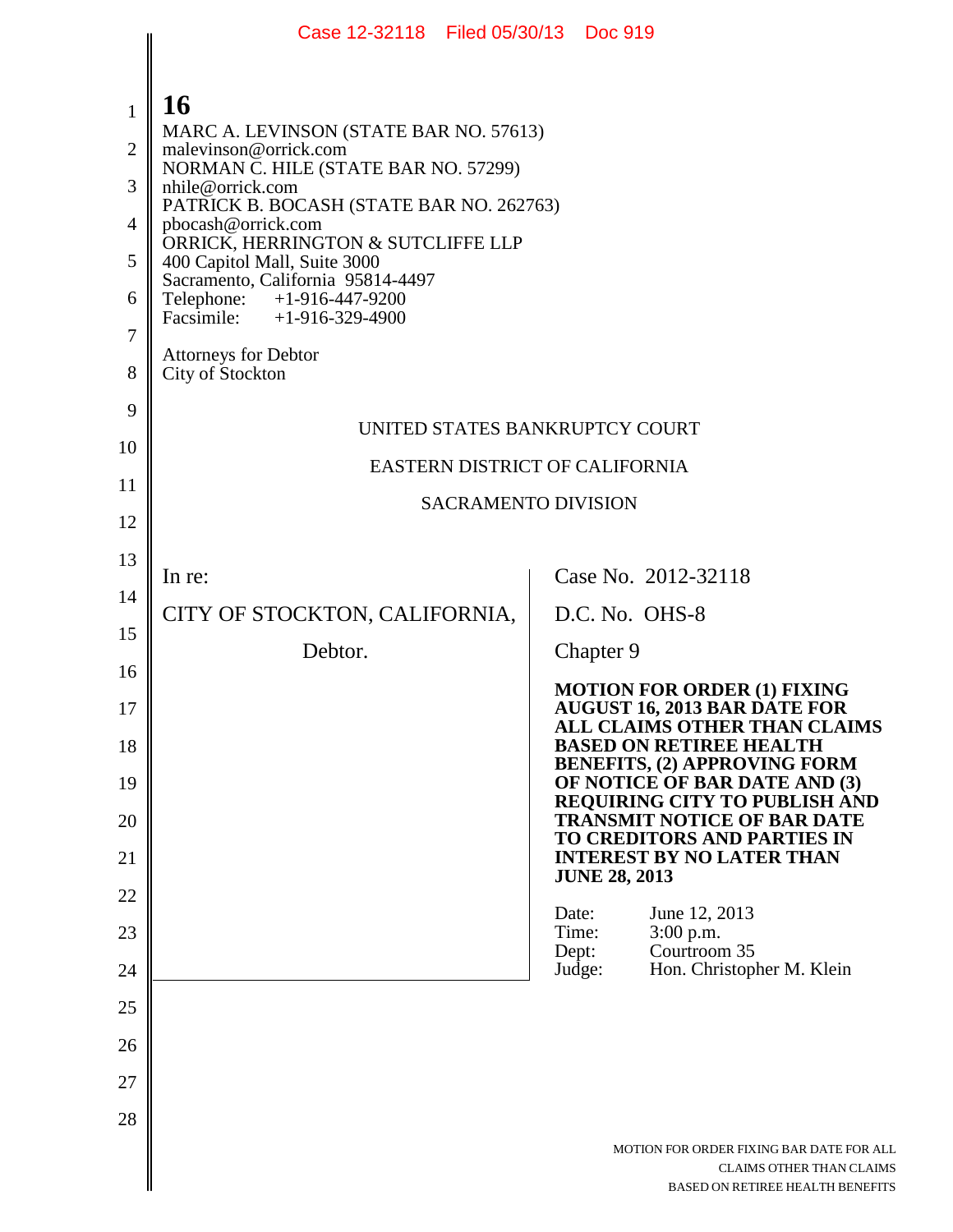|                | Case 12-32118 Filed 05/30/13 Doc 919                               |                                                                                                                 |  |
|----------------|--------------------------------------------------------------------|-----------------------------------------------------------------------------------------------------------------|--|
|                |                                                                    |                                                                                                                 |  |
| $\mathbf{1}$   | 16                                                                 |                                                                                                                 |  |
| $\overline{2}$ | MARC A. LEVINSON (STATE BAR NO. 57613)<br>malevinson@orrick.com    |                                                                                                                 |  |
| 3              | NORMAN C. HILE (STATE BAR NO. 57299)<br>nhile@orrick.com           |                                                                                                                 |  |
| 4              | PATRICK B. BOCASH (STATE BAR NO. 262763)<br>pbocash@orrick.com     |                                                                                                                 |  |
| 5              | ORRICK, HERRINGTON & SUTCLIFFE LLP<br>400 Capitol Mall, Suite 3000 |                                                                                                                 |  |
| 6              | Sacramento, California 95814-4497<br>Telephone: +1-916-447-9200    |                                                                                                                 |  |
| 7              | Facsimile: $+1-916-329-4900$                                       |                                                                                                                 |  |
| 8              | <b>Attorneys for Debtor</b><br>City of Stockton                    |                                                                                                                 |  |
| 9              |                                                                    | UNITED STATES BANKRUPTCY COURT                                                                                  |  |
| 10             |                                                                    |                                                                                                                 |  |
| 11             | EASTERN DISTRICT OF CALIFORNIA                                     |                                                                                                                 |  |
| 12             | <b>SACRAMENTO DIVISION</b>                                         |                                                                                                                 |  |
| 13             | In re:                                                             | Case No. 2012-32118                                                                                             |  |
| 14             |                                                                    |                                                                                                                 |  |
| 15             | CITY OF STOCKTON, CALIFORNIA,                                      | D.C. No. OHS-8                                                                                                  |  |
| 16             | Debtor.                                                            | Chapter 9                                                                                                       |  |
| 17             |                                                                    | <b>MOTION FOR ORDER (1) FIXING</b><br><b>AUGUST 16, 2013 BAR DATE FOR</b>                                       |  |
| 18             |                                                                    | ALL CLAIMS OTHER THAN CLAIMS<br><b>BASED ON RETIREE HEALTH</b>                                                  |  |
| 19             |                                                                    | <b>BENEFITS, (2) APPROVING FORM</b><br>OF NOTICE OF BAR DATE AND (3)                                            |  |
| 20             |                                                                    | REQUIRING CITY TO PUBLISH AND<br><b>TRANSMIT NOTICE OF BAR DATE</b>                                             |  |
| 21             |                                                                    | <b>TO CREDITORS AND PARTIES IN</b><br><b>INTEREST BY NO LATER THAN</b>                                          |  |
| 22             |                                                                    | <b>JUNE 28, 2013</b>                                                                                            |  |
| 23             |                                                                    | Date:<br>June 12, 2013<br>3:00 p.m.<br>Time:                                                                    |  |
| 24             |                                                                    | Courtroom 35<br>Dept:<br>Hon. Christopher M. Klein<br>Judge:                                                    |  |
| 25             |                                                                    |                                                                                                                 |  |
| 26             |                                                                    |                                                                                                                 |  |
| 27             |                                                                    |                                                                                                                 |  |
| 28             |                                                                    |                                                                                                                 |  |
|                |                                                                    | MOTION FOR ORDER FIXING BAR DATE FOR ALL<br><b>CLAIMS OTHER THAN CLAIMS</b><br>BASED ON RETIREE HEALTH BENEFITS |  |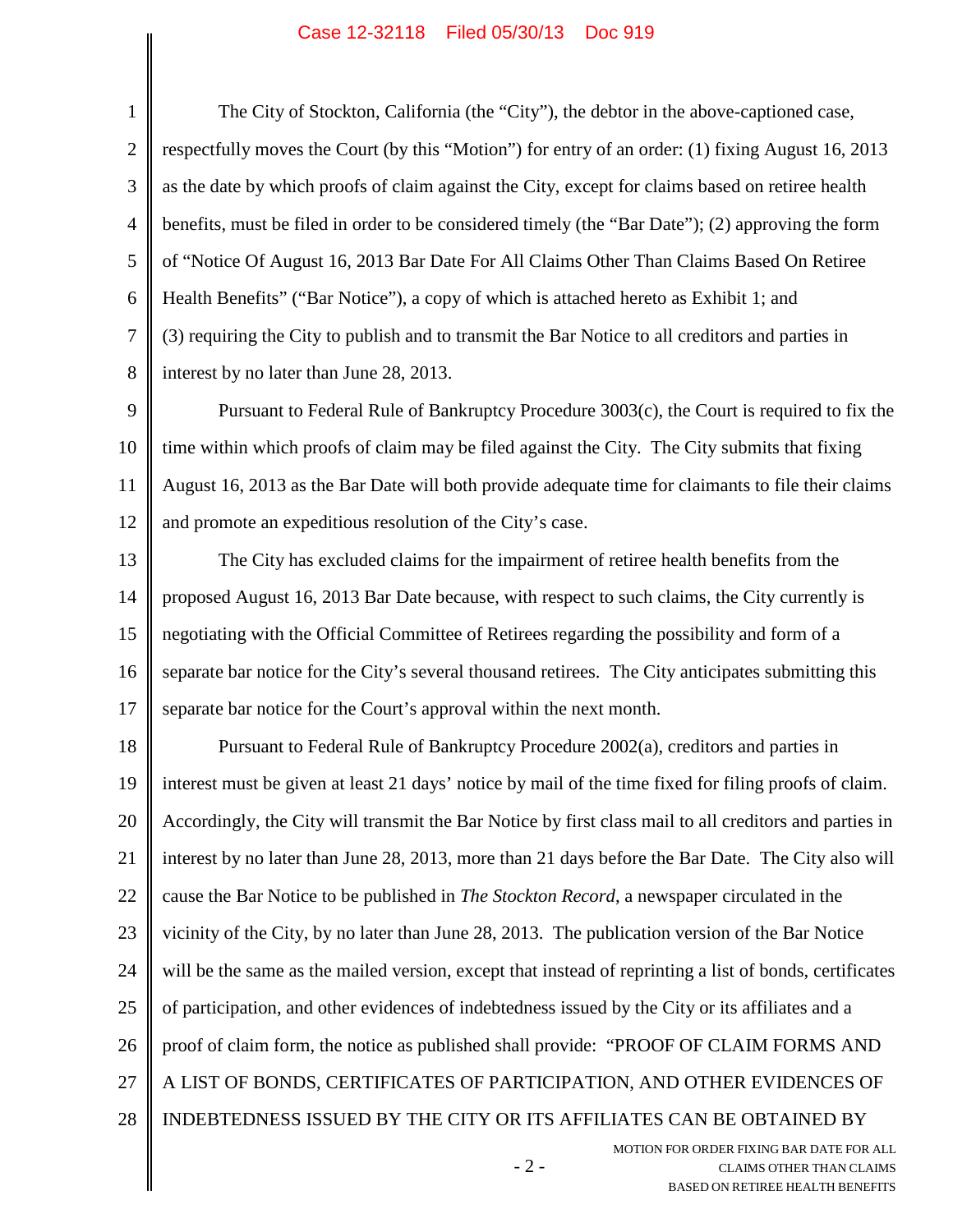1 2 3 4 5 6 7 8 The City of Stockton, California (the "City"), the debtor in the above-captioned case, respectfully moves the Court (by this "Motion") for entry of an order: (1) fixing August 16, 2013 as the date by which proofs of claim against the City, except for claims based on retiree health benefits, must be filed in order to be considered timely (the "Bar Date"); (2) approving the form of "Notice Of August 16, 2013 Bar Date For All Claims Other Than Claims Based On Retiree Health Benefits" ("Bar Notice"), a copy of which is attached hereto as Exhibit 1; and (3) requiring the City to publish and to transmit the Bar Notice to all creditors and parties in interest by no later than June 28, 2013.

9 10 11 12 Pursuant to Federal Rule of Bankruptcy Procedure 3003(c), the Court is required to fix the time within which proofs of claim may be filed against the City. The City submits that fixing August 16, 2013 as the Bar Date will both provide adequate time for claimants to file their claims and promote an expeditious resolution of the City's case.

13 14 15 16 17 The City has excluded claims for the impairment of retiree health benefits from the proposed August 16, 2013 Bar Date because, with respect to such claims, the City currently is negotiating with the Official Committee of Retirees regarding the possibility and form of a separate bar notice for the City's several thousand retirees. The City anticipates submitting this separate bar notice for the Court's approval within the next month.

18 19 20 21 22 23 24 25 26 27 28 Pursuant to Federal Rule of Bankruptcy Procedure 2002(a), creditors and parties in interest must be given at least 21 days' notice by mail of the time fixed for filing proofs of claim. Accordingly, the City will transmit the Bar Notice by first class mail to all creditors and parties in interest by no later than June 28, 2013, more than 21 days before the Bar Date. The City also will cause the Bar Notice to be published in *The Stockton Record*, a newspaper circulated in the vicinity of the City, by no later than June 28, 2013. The publication version of the Bar Notice will be the same as the mailed version, except that instead of reprinting a list of bonds, certificates of participation, and other evidences of indebtedness issued by the City or its affiliates and a proof of claim form, the notice as published shall provide: "PROOF OF CLAIM FORMS AND A LIST OF BONDS, CERTIFICATES OF PARTICIPATION, AND OTHER EVIDENCES OF INDEBTEDNESS ISSUED BY THE CITY OR ITS AFFILIATES CAN BE OBTAINED BY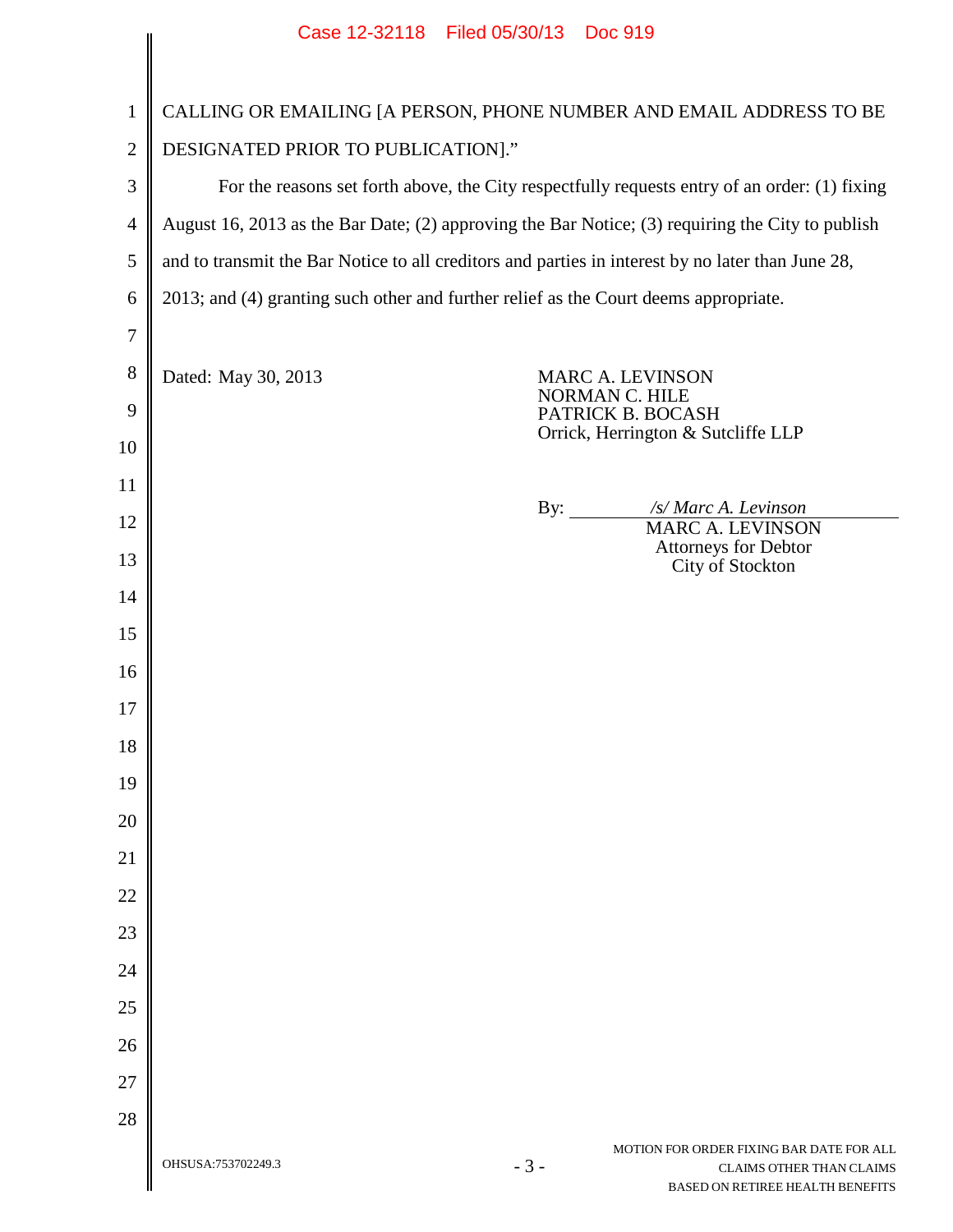|                          | Case 12-32118 Filed 05/30/13 Doc 919                                                                                                           |  |  |
|--------------------------|------------------------------------------------------------------------------------------------------------------------------------------------|--|--|
| $\mathbf{1}$             | CALLING OR EMAILING [A PERSON, PHONE NUMBER AND EMAIL ADDRESS TO BE                                                                            |  |  |
| $\overline{c}$           | DESIGNATED PRIOR TO PUBLICATION]."                                                                                                             |  |  |
| 3                        | For the reasons set forth above, the City respectfully requests entry of an order: (1) fixing                                                  |  |  |
| $\overline{\mathcal{A}}$ | August 16, 2013 as the Bar Date; (2) approving the Bar Notice; (3) requiring the City to publish                                               |  |  |
| 5                        | and to transmit the Bar Notice to all creditors and parties in interest by no later than June 28,                                              |  |  |
| 6                        | 2013; and (4) granting such other and further relief as the Court deems appropriate.                                                           |  |  |
| 7                        |                                                                                                                                                |  |  |
| $8\,$                    | Dated: May 30, 2013<br>MARC A. LEVINSON<br>NORMAN C. HILE                                                                                      |  |  |
| 9                        | PATRICK B. BOCASH<br>Orrick, Herrington & Sutcliffe LLP                                                                                        |  |  |
| 10                       |                                                                                                                                                |  |  |
| 11                       | /s/ Marc A. Levinson<br>By: $\qquad \qquad$                                                                                                    |  |  |
| 12                       | <b>MARC A. LEVINSON</b><br>Attorneys for Debtor                                                                                                |  |  |
| 13                       | City of Stockton                                                                                                                               |  |  |
| 14                       |                                                                                                                                                |  |  |
| 15                       |                                                                                                                                                |  |  |
| 16                       |                                                                                                                                                |  |  |
| 17<br>18                 |                                                                                                                                                |  |  |
| 19                       |                                                                                                                                                |  |  |
| 20                       |                                                                                                                                                |  |  |
| 21                       |                                                                                                                                                |  |  |
| 22                       |                                                                                                                                                |  |  |
| 23                       |                                                                                                                                                |  |  |
| 24                       |                                                                                                                                                |  |  |
| 25                       |                                                                                                                                                |  |  |
| 26                       |                                                                                                                                                |  |  |
| 27                       |                                                                                                                                                |  |  |
| 28                       |                                                                                                                                                |  |  |
|                          | MOTION FOR ORDER FIXING BAR DATE FOR ALL<br>OHSUSA:753702249.3<br>$-3-$<br><b>CLAIMS OTHER THAN CLAIMS</b><br>BASED ON RETIREE HEALTH BENEFITS |  |  |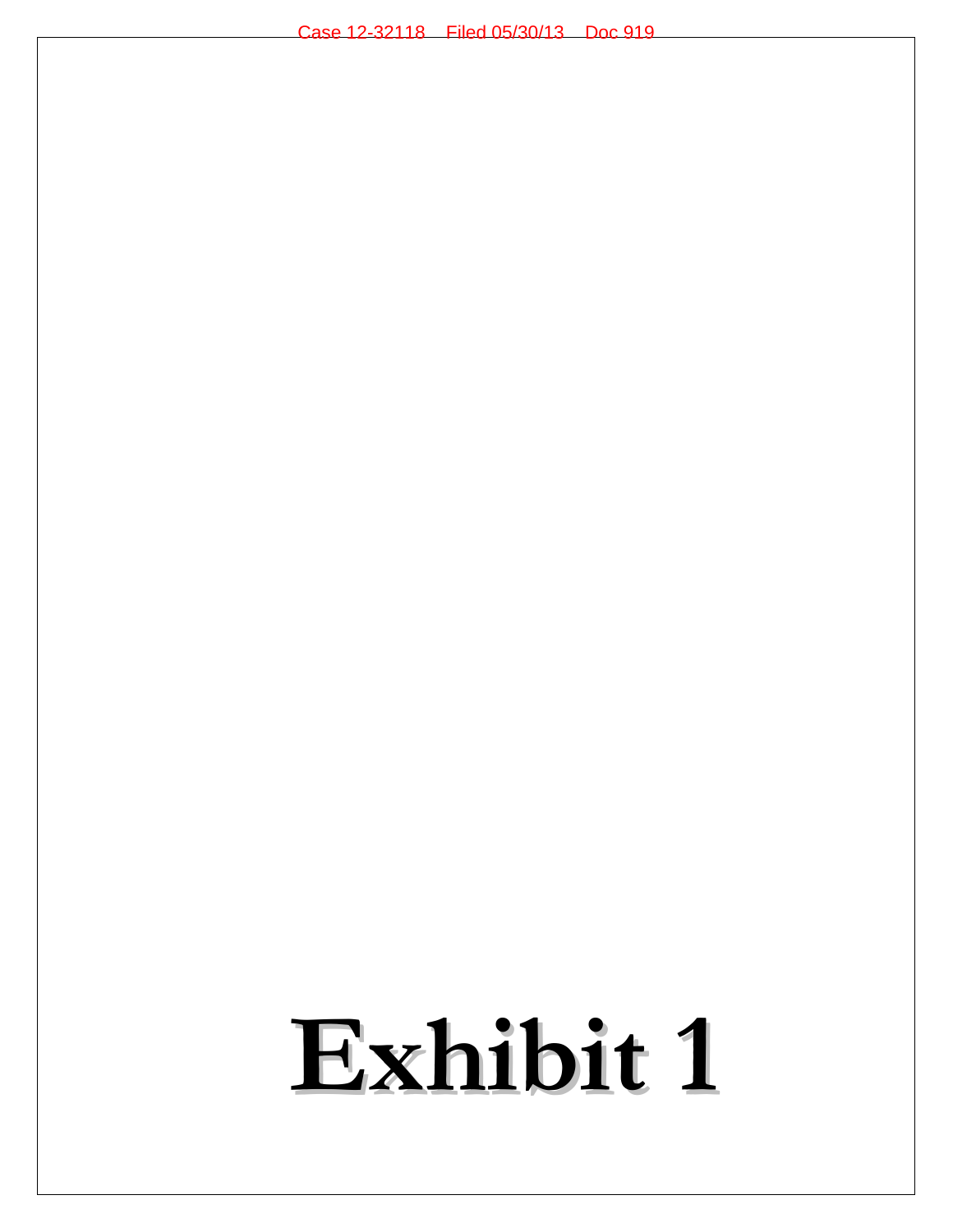# **Exhibit 1**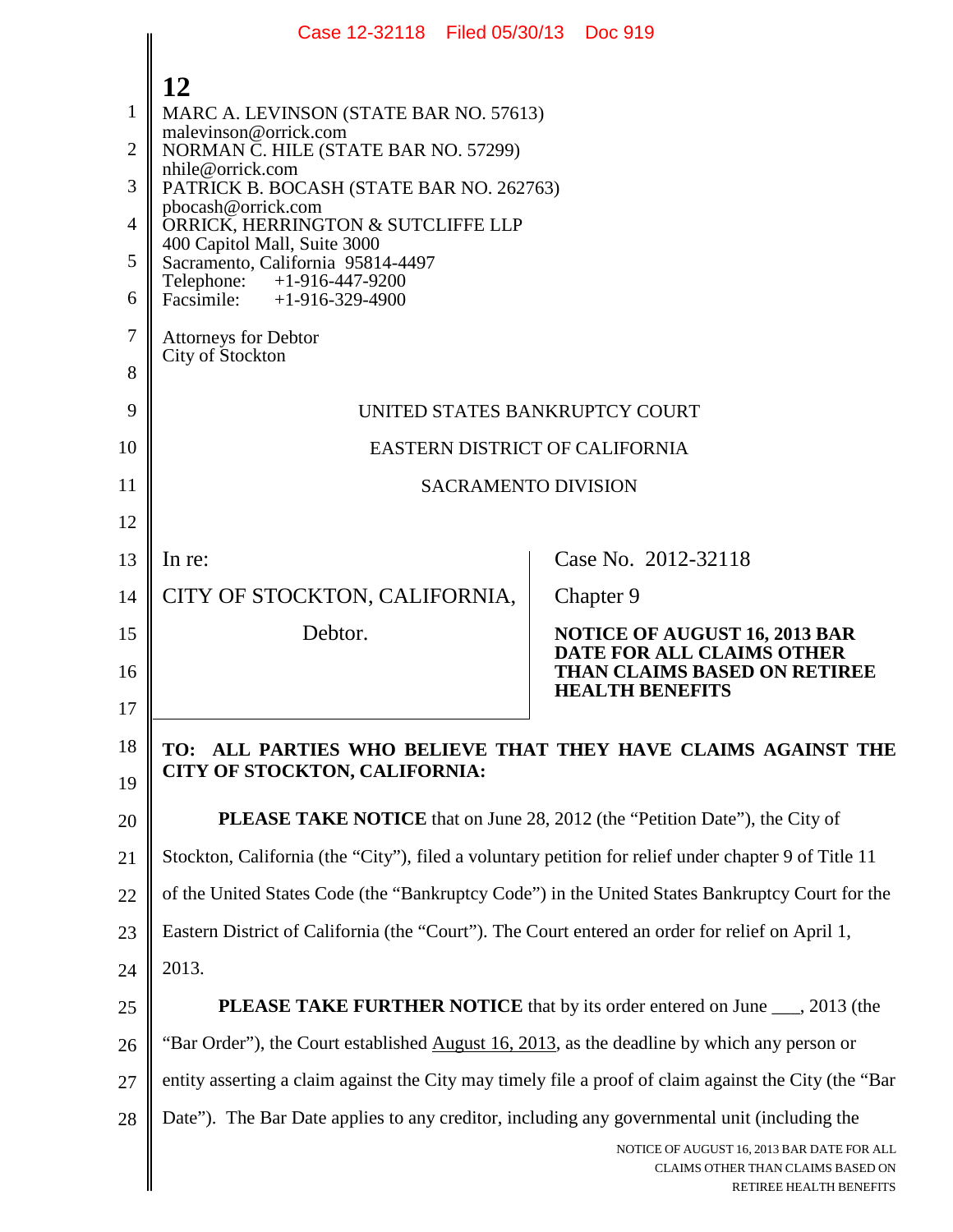|                | Case 12-32118 Filed 05/30/13 Doc 919                                                                  |                                                                                                            |  |  |
|----------------|-------------------------------------------------------------------------------------------------------|------------------------------------------------------------------------------------------------------------|--|--|
|                | 12                                                                                                    |                                                                                                            |  |  |
| 1              | MARC A. LEVINSON (STATE BAR NO. 57613)                                                                |                                                                                                            |  |  |
| $\overline{2}$ | malevinson@orrick.com<br>NORMAN C. HILE (STATE BAR NO. 57299)                                         |                                                                                                            |  |  |
| 3              | nhile@orrick.com<br>PATRICK B. BOCASH (STATE BAR NO. 262763)                                          |                                                                                                            |  |  |
| $\overline{4}$ | pbocash@orrick.com<br>ORRICK, HERRINGTON & SUTCLIFFE LLP                                              |                                                                                                            |  |  |
| 5              | 400 Capitol Mall, Suite 3000<br>Sacramento, California 95814-4497                                     |                                                                                                            |  |  |
| 6              | Telephone:<br>$+1-916-447-9200$<br>Facsimile: $+1-916-329-4900$                                       |                                                                                                            |  |  |
| $\tau$         | <b>Attorneys for Debtor</b>                                                                           |                                                                                                            |  |  |
| 8              | City of Stockton                                                                                      |                                                                                                            |  |  |
| 9              | UNITED STATES BANKRUPTCY COURT                                                                        |                                                                                                            |  |  |
| 10             | <b>EASTERN DISTRICT OF CALIFORNIA</b>                                                                 |                                                                                                            |  |  |
| 11             | <b>SACRAMENTO DIVISION</b>                                                                            |                                                                                                            |  |  |
| 12             |                                                                                                       |                                                                                                            |  |  |
| 13             | In re:                                                                                                | Case No. 2012-32118                                                                                        |  |  |
| 14             | CITY OF STOCKTON, CALIFORNIA,                                                                         | Chapter 9                                                                                                  |  |  |
| 15             | Debtor.                                                                                               | <b>NOTICE OF AUGUST 16, 2013 BAR</b>                                                                       |  |  |
| 16             |                                                                                                       | DATE FOR ALL CLAIMS OTHER<br><b>THAN CLAIMS BASED ON RETIREE</b><br><b>HEALTH BENEFITS</b>                 |  |  |
| 17             |                                                                                                       |                                                                                                            |  |  |
| 18             | TO:<br><b>CITY OF STOCKTON, CALIFORNIA:</b>                                                           | ALL PARTIES WHO BELIEVE THAT THEY HAVE CLAIMS AGAINST THE                                                  |  |  |
| 19             |                                                                                                       |                                                                                                            |  |  |
| 20             | <b>PLEASE TAKE NOTICE</b> that on June 28, 2012 (the "Petition Date"), the City of                    |                                                                                                            |  |  |
| 21             | Stockton, California (the "City"), filed a voluntary petition for relief under chapter 9 of Title 11  |                                                                                                            |  |  |
| 22             | of the United States Code (the "Bankruptcy Code") in the United States Bankruptcy Court for the       |                                                                                                            |  |  |
| 23             | Eastern District of California (the "Court"). The Court entered an order for relief on April 1,       |                                                                                                            |  |  |
| 24             | 2013.                                                                                                 |                                                                                                            |  |  |
| 25             | PLEASE TAKE FURTHER NOTICE that by its order entered on June ___, 2013 (the                           |                                                                                                            |  |  |
| 26             | "Bar Order"), the Court established August 16, 2013, as the deadline by which any person or           |                                                                                                            |  |  |
| 27             | entity asserting a claim against the City may timely file a proof of claim against the City (the "Bar |                                                                                                            |  |  |
| 28             | Date"). The Bar Date applies to any creditor, including any governmental unit (including the          |                                                                                                            |  |  |
|                |                                                                                                       | NOTICE OF AUGUST 16, 2013 BAR DATE FOR ALL<br>CLAIMS OTHER THAN CLAIMS BASED ON<br>RETIREE HEALTH BENEFITS |  |  |

| <b>RETIREE HEALTH BENEFITS</b> |
|--------------------------------|
|                                |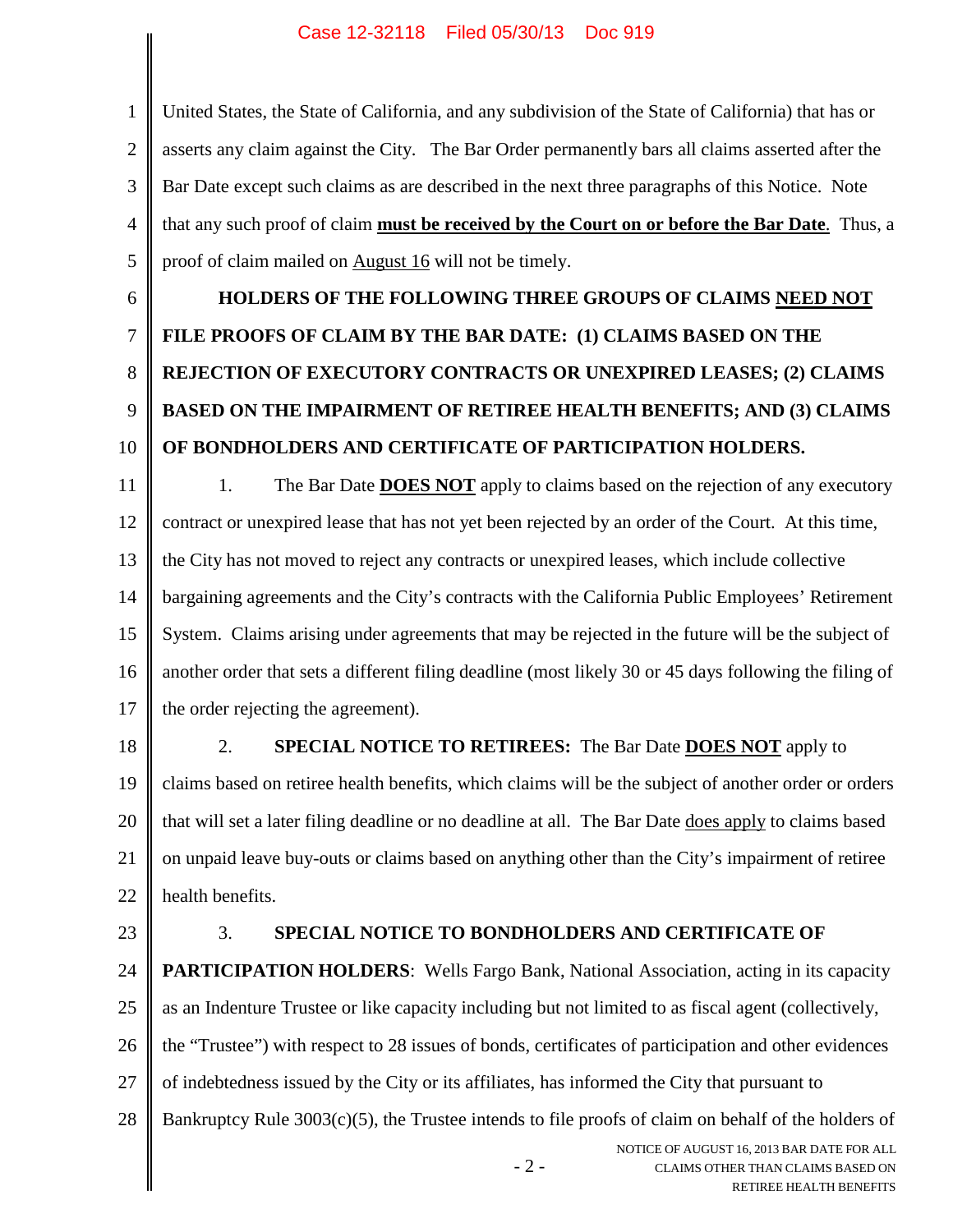1 2 3 4 5 United States, the State of California, and any subdivision of the State of California) that has or asserts any claim against the City. The Bar Order permanently bars all claims asserted after the Bar Date except such claims as are described in the next three paragraphs of this Notice. Note that any such proof of claim **must be received by the Court on or before the Bar Date**. Thus, a proof of claim mailed on August 16 will not be timely.

6

7 8 9 10 **HOLDERS OF THE FOLLOWING THREE GROUPS OF CLAIMS NEED NOT FILE PROOFS OF CLAIM BY THE BAR DATE: (1) CLAIMS BASED ON THE REJECTION OF EXECUTORY CONTRACTS OR UNEXPIRED LEASES; (2) CLAIMS BASED ON THE IMPAIRMENT OF RETIREE HEALTH BENEFITS; AND (3) CLAIMS OF BONDHOLDERS AND CERTIFICATE OF PARTICIPATION HOLDERS.**

11 12 13 14 15 16 17 1. The Bar Date **DOES NOT** apply to claims based on the rejection of any executory contract or unexpired lease that has not yet been rejected by an order of the Court. At this time, the City has not moved to reject any contracts or unexpired leases, which include collective bargaining agreements and the City's contracts with the California Public Employees' Retirement System. Claims arising under agreements that may be rejected in the future will be the subject of another order that sets a different filing deadline (most likely 30 or 45 days following the filing of the order rejecting the agreement).

18

## 2. **SPECIAL NOTICE TO RETIREES:** The Bar Date **DOES NOT** apply to

19 20 21 22 claims based on retiree health benefits, which claims will be the subject of another order or orders that will set a later filing deadline or no deadline at all. The Bar Date does apply to claims based on unpaid leave buy-outs or claims based on anything other than the City's impairment of retiree health benefits.

23

## 3. **SPECIAL NOTICE TO BONDHOLDERS AND CERTIFICATE OF**

24 25 26 27 **PARTICIPATION HOLDERS:** Wells Fargo Bank, National Association, acting in its capacity as an Indenture Trustee or like capacity including but not limited to as fiscal agent (collectively, the "Trustee") with respect to 28 issues of bonds, certificates of participation and other evidences of indebtedness issued by the City or its affiliates, has informed the City that pursuant to

28 Bankruptcy Rule 3003(c)(5), the Trustee intends to file proofs of claim on behalf of the holders of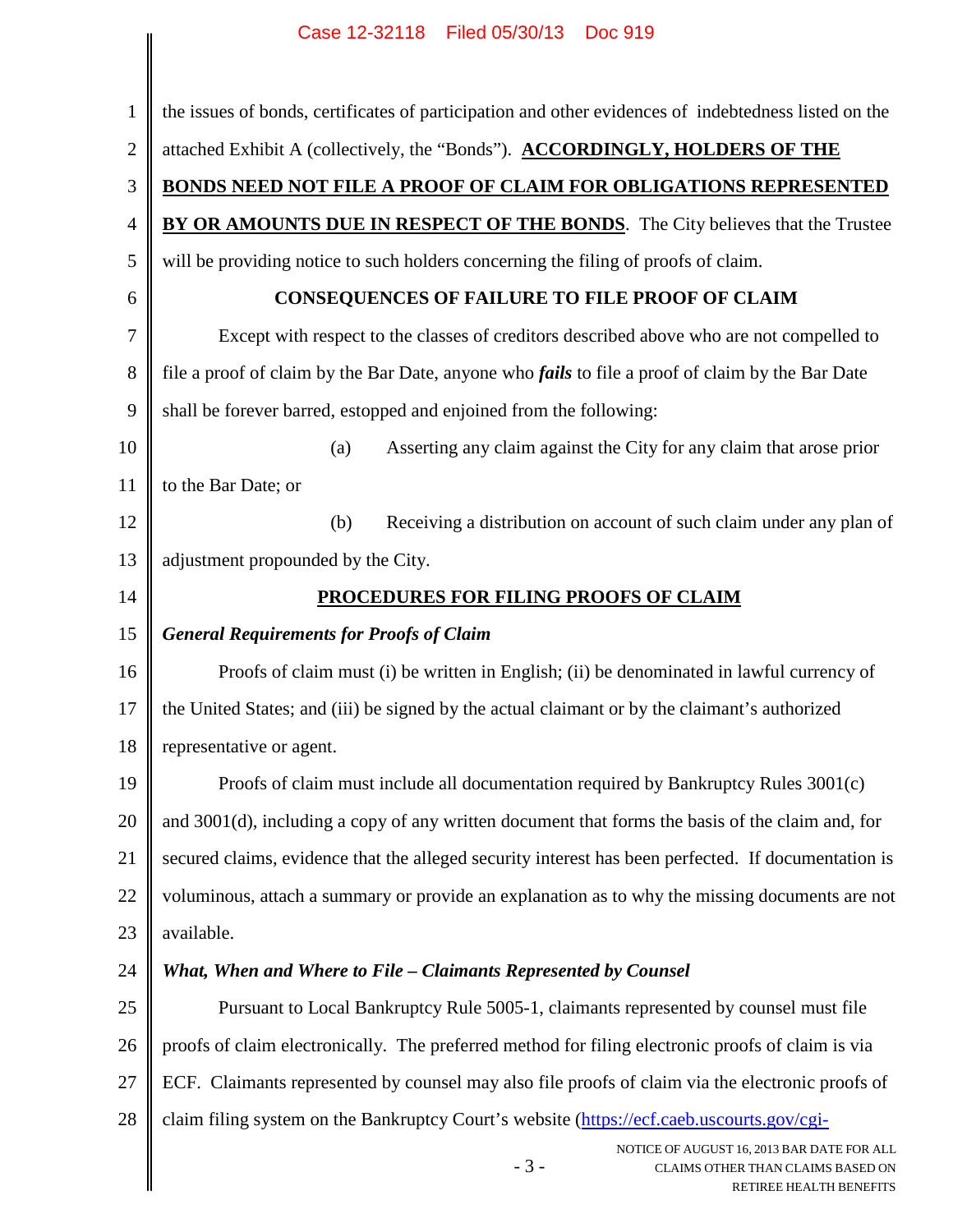|                | Case IZ-32118 - Filed 05/30/13 - Doc 919                                                                |  |  |
|----------------|---------------------------------------------------------------------------------------------------------|--|--|
| $\mathbf{1}$   | the issues of bonds, certificates of participation and other evidences of indebtedness listed on the    |  |  |
| $\overline{2}$ | attached Exhibit A (collectively, the "Bonds"). ACCORDINGLY, HOLDERS OF THE                             |  |  |
| 3              | BONDS NEED NOT FILE A PROOF OF CLAIM FOR OBLIGATIONS REPRESENTED                                        |  |  |
| $\overline{4}$ | BY OR AMOUNTS DUE IN RESPECT OF THE BONDS. The City believes that the Trustee                           |  |  |
| 5              | will be providing notice to such holders concerning the filing of proofs of claim.                      |  |  |
| 6              | <b>CONSEQUENCES OF FAILURE TO FILE PROOF OF CLAIM</b>                                                   |  |  |
| 7              | Except with respect to the classes of creditors described above who are not compelled to                |  |  |
| 8              | file a proof of claim by the Bar Date, anyone who <i>fails</i> to file a proof of claim by the Bar Date |  |  |
| 9              | shall be forever barred, estopped and enjoined from the following:                                      |  |  |
| 10             | (a)<br>Asserting any claim against the City for any claim that arose prior                              |  |  |
| 11             | to the Bar Date; or                                                                                     |  |  |
| 12             | Receiving a distribution on account of such claim under any plan of<br>(b)                              |  |  |
| 13             | adjustment propounded by the City.                                                                      |  |  |
| 14             | PROCEDURES FOR FILING PROOFS OF CLAIM                                                                   |  |  |
| 15             | <b>General Requirements for Proofs of Claim</b>                                                         |  |  |
| 16             | Proofs of claim must (i) be written in English; (ii) be denominated in lawful currency of               |  |  |
| 17             | the United States; and (iii) be signed by the actual claimant or by the claimant's authorized           |  |  |
| 18             | representative or agent.                                                                                |  |  |
| 19             | Proofs of claim must include all documentation required by Bankruptcy Rules 3001(c)                     |  |  |
| 20             | and 3001(d), including a copy of any written document that forms the basis of the claim and, for        |  |  |
| 21             | secured claims, evidence that the alleged security interest has been perfected. If documentation is     |  |  |
| 22             | voluminous, attach a summary or provide an explanation as to why the missing documents are not          |  |  |
| 23             | available.                                                                                              |  |  |
| 24             | What, When and Where to File - Claimants Represented by Counsel                                         |  |  |
|                |                                                                                                         |  |  |
| 25             | Pursuant to Local Bankruptcy Rule 5005-1, claimants represented by counsel must file                    |  |  |
|                | proofs of claim electronically. The preferred method for filing electronic proofs of claim is via       |  |  |
|                | ECF. Claimants represented by counsel may also file proofs of claim via the electronic proofs of        |  |  |
| 26<br>27<br>28 | claim filing system on the Bankruptcy Court's website (https://ecf.caeb.uscourts.gov/cgi-               |  |  |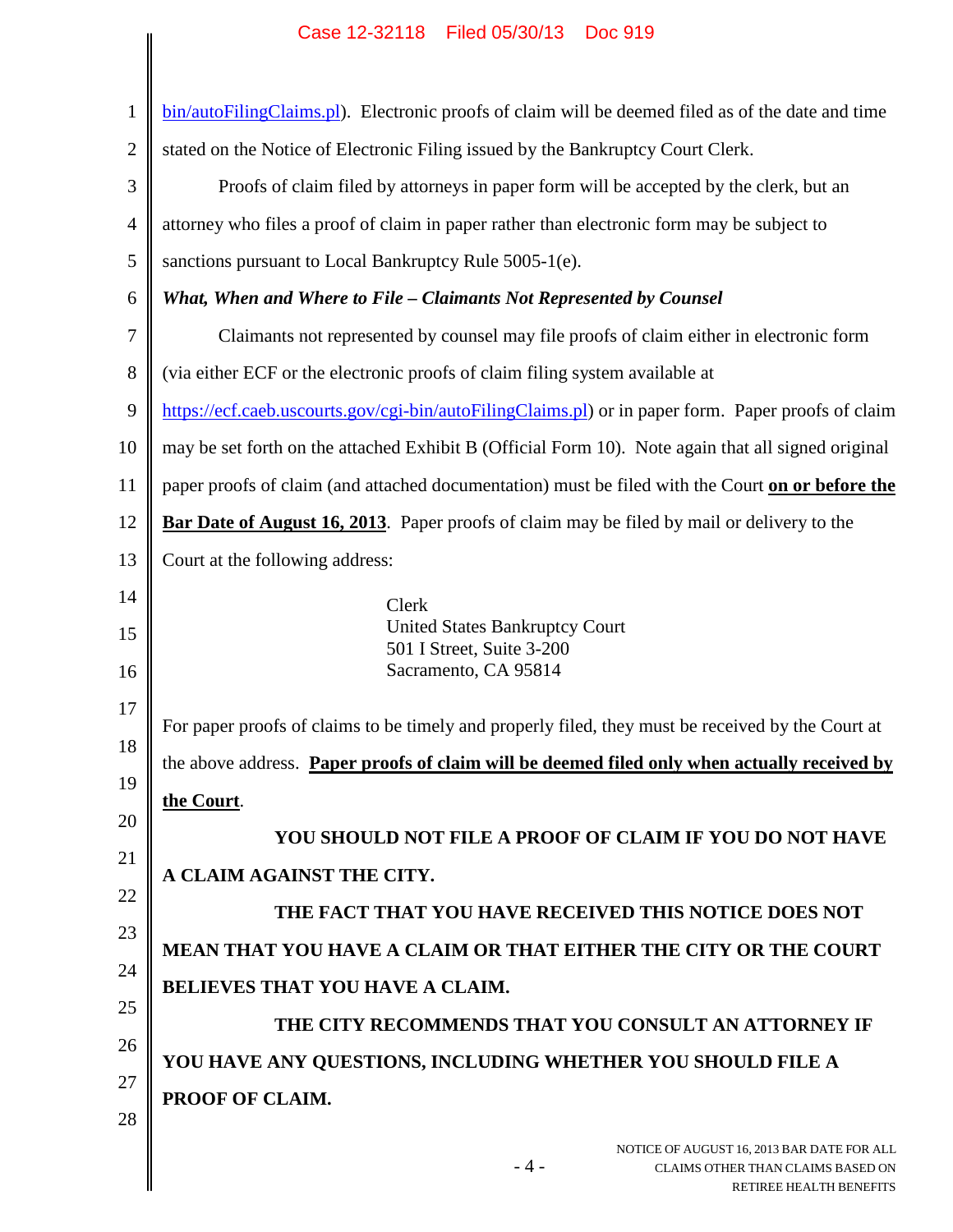### NOTICE OF AUGUST 16, 2013 BAR DATE FOR ALL 1 2 3 4 5 6 7 8 9 10 11 12 13 14 15 16 17 18 19 20 21 22 23 24 25 26 27 28 bin/autoFilingClaims.pl). Electronic proofs of claim will be deemed filed as of the date and time stated on the Notice of Electronic Filing issued by the Bankruptcy Court Clerk. Proofs of claim filed by attorneys in paper form will be accepted by the clerk, but an attorney who files a proof of claim in paper rather than electronic form may be subject to sanctions pursuant to Local Bankruptcy Rule 5005-1(e). *What, When and Where to File – Claimants Not Represented by Counsel* Claimants not represented by counsel may file proofs of claim either in electronic form (via either ECF or the electronic proofs of claim filing system available at https://ecf.caeb.uscourts.gov/cgi-bin/autoFilingClaims.pl) or in paper form. Paper proofs of claim may be set forth on the attached Exhibit B (Official Form 10). Note again that all signed original paper proofs of claim (and attached documentation) must be filed with the Court **on or before the Bar Date of August 16, 2013**. Paper proofs of claim may be filed by mail or delivery to the Court at the following address: Clerk United States Bankruptcy Court 501 I Street, Suite 3-200 Sacramento, CA 95814 For paper proofs of claims to be timely and properly filed, they must be received by the Court at the above address. **Paper proofs of claim will be deemed filed only when actually received by the Court**. **YOU SHOULD NOT FILE A PROOF OF CLAIM IF YOU DO NOT HAVE A CLAIM AGAINST THE CITY. THE FACT THAT YOU HAVE RECEIVED THIS NOTICE DOES NOT MEAN THAT YOU HAVE A CLAIM OR THAT EITHER THE CITY OR THE COURT BELIEVES THAT YOU HAVE A CLAIM. THE CITY RECOMMENDS THAT YOU CONSULT AN ATTORNEY IF YOU HAVE ANY QUESTIONS, INCLUDING WHETHER YOU SHOULD FILE A PROOF OF CLAIM.** Case 12-32118 Filed 05/30/13 Doc 919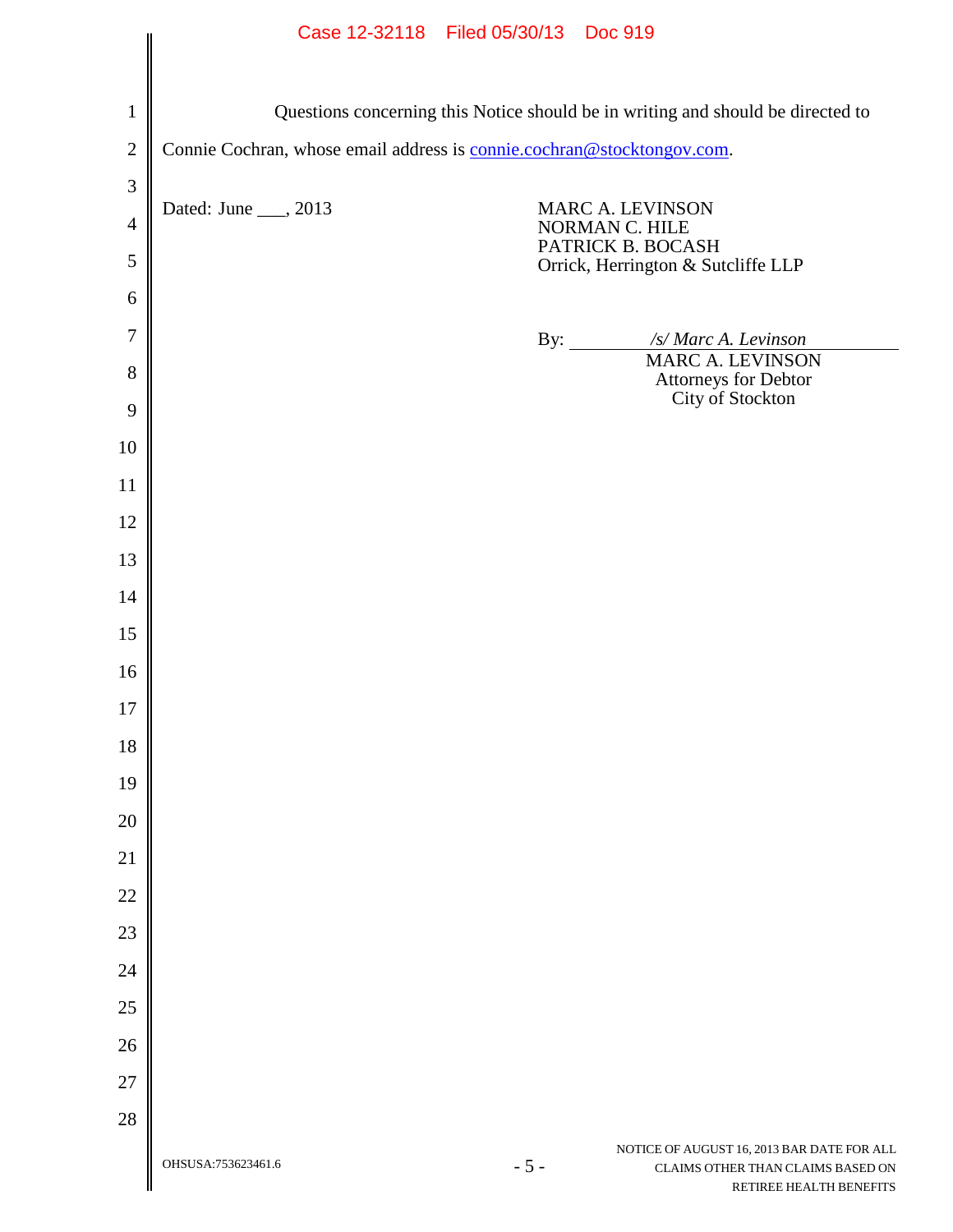|                | Case 12-32118 Filed 05/30/13 Doc 919                                   |       |                                                                                                            |
|----------------|------------------------------------------------------------------------|-------|------------------------------------------------------------------------------------------------------------|
|                |                                                                        |       |                                                                                                            |
| $\mathbf{1}$   |                                                                        |       | Questions concerning this Notice should be in writing and should be directed to                            |
| $\sqrt{2}$     | Connie Cochran, whose email address is connie.cochran@stocktongov.com. |       |                                                                                                            |
| 3              |                                                                        |       |                                                                                                            |
| $\overline{4}$ | Dated: June ___, 2013                                                  |       | MARC A. LEVINSON<br>NORMAN C. HILE                                                                         |
| $\mathfrak s$  |                                                                        |       | PATRICK B. BOCASH<br>Orrick, Herrington & Sutcliffe LLP                                                    |
| 6              |                                                                        |       |                                                                                                            |
| 7              |                                                                        |       | /s/ Marc A. Levinson<br>By: $\qquad \qquad$                                                                |
| 8              |                                                                        |       | <b>MARC A. LEVINSON</b><br>Attorneys for Debtor<br>City of Stockton                                        |
| 9              |                                                                        |       |                                                                                                            |
| 10             |                                                                        |       |                                                                                                            |
| 11             |                                                                        |       |                                                                                                            |
| 12             |                                                                        |       |                                                                                                            |
| 13             |                                                                        |       |                                                                                                            |
| 14             |                                                                        |       |                                                                                                            |
| 15             |                                                                        |       |                                                                                                            |
| 16             |                                                                        |       |                                                                                                            |
| 17             |                                                                        |       |                                                                                                            |
| 18             |                                                                        |       |                                                                                                            |
| 19             |                                                                        |       |                                                                                                            |
| 20             |                                                                        |       |                                                                                                            |
| 21             |                                                                        |       |                                                                                                            |
| 22             |                                                                        |       |                                                                                                            |
| 23             |                                                                        |       |                                                                                                            |
| 24             |                                                                        |       |                                                                                                            |
| 25             |                                                                        |       |                                                                                                            |
| 26             |                                                                        |       |                                                                                                            |
| 27             |                                                                        |       |                                                                                                            |
| 28             | OHSUSA:753623461.6                                                     | $-5-$ | NOTICE OF AUGUST 16, 2013 BAR DATE FOR ALL<br>CLAIMS OTHER THAN CLAIMS BASED ON<br>RETIREE HEALTH BENEFITS |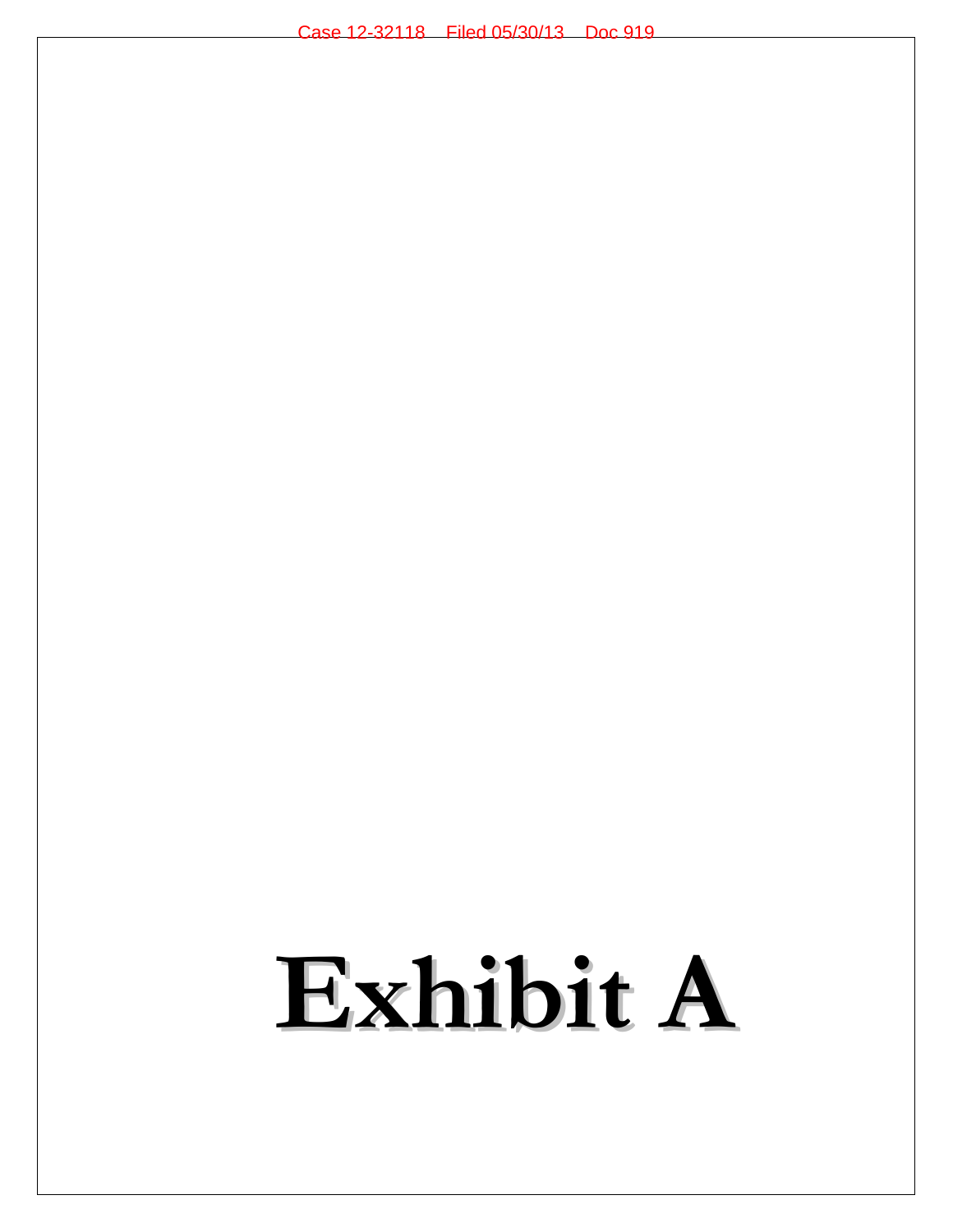## **Exhibit A**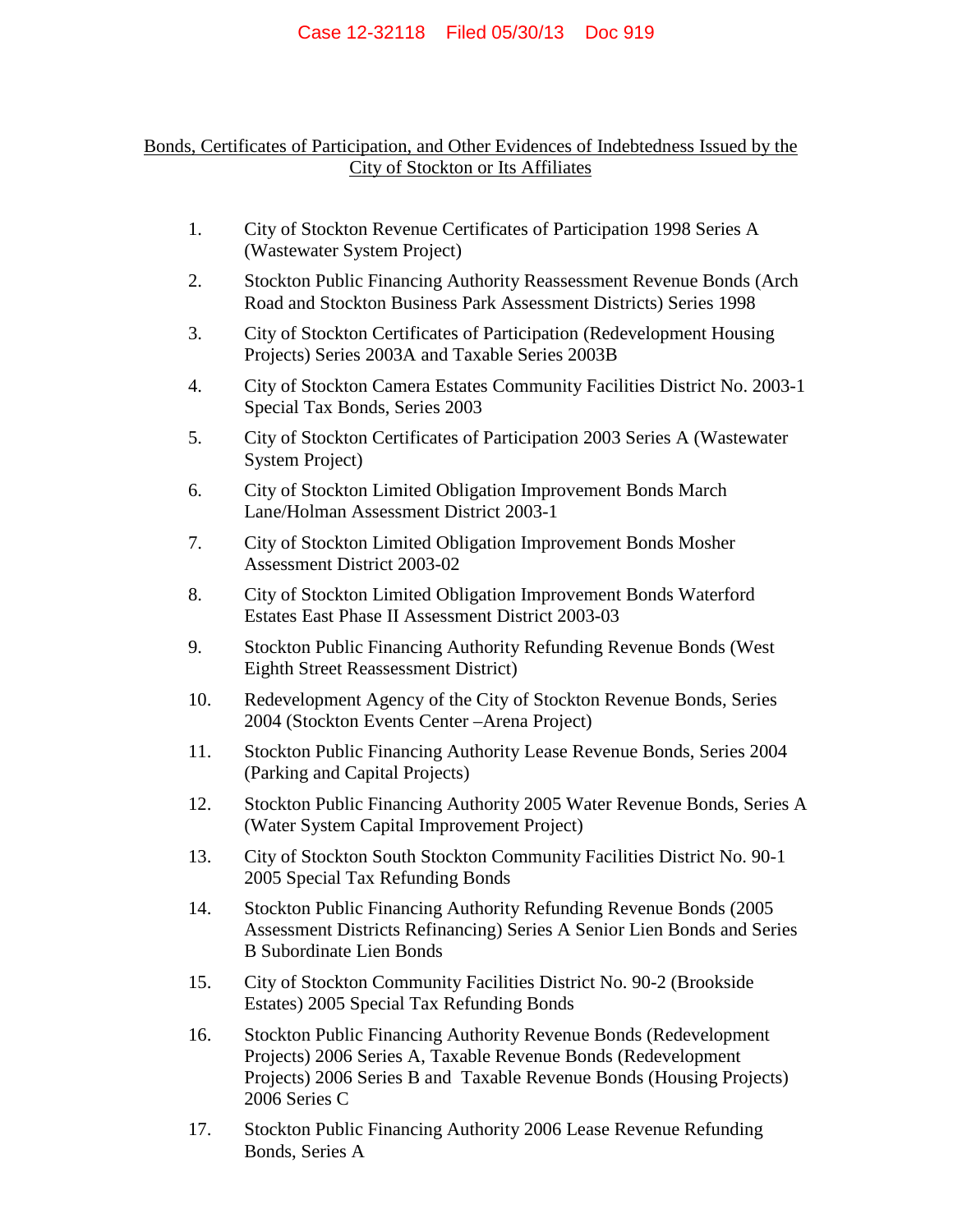## Bonds, Certificates of Participation, and Other Evidences of Indebtedness Issued by the City of Stockton or Its Affiliates

- 1. City of Stockton Revenue Certificates of Participation 1998 Series A (Wastewater System Project)
- 2. Stockton Public Financing Authority Reassessment Revenue Bonds (Arch Road and Stockton Business Park Assessment Districts) Series 1998
- 3. City of Stockton Certificates of Participation (Redevelopment Housing Projects) Series 2003A and Taxable Series 2003B
- 4. City of Stockton Camera Estates Community Facilities District No. 2003-1 Special Tax Bonds, Series 2003
- 5. City of Stockton Certificates of Participation 2003 Series A (Wastewater System Project)
- 6. City of Stockton Limited Obligation Improvement Bonds March Lane/Holman Assessment District 2003-1
- 7. City of Stockton Limited Obligation Improvement Bonds Mosher Assessment District 2003-02
- 8. City of Stockton Limited Obligation Improvement Bonds Waterford Estates East Phase II Assessment District 2003-03
- 9. Stockton Public Financing Authority Refunding Revenue Bonds (West Eighth Street Reassessment District)
- 10. Redevelopment Agency of the City of Stockton Revenue Bonds, Series 2004 (Stockton Events Center –Arena Project)
- 11. Stockton Public Financing Authority Lease Revenue Bonds, Series 2004 (Parking and Capital Projects)
- 12. Stockton Public Financing Authority 2005 Water Revenue Bonds, Series A (Water System Capital Improvement Project)
- 13. City of Stockton South Stockton Community Facilities District No. 90-1 2005 Special Tax Refunding Bonds
- 14. Stockton Public Financing Authority Refunding Revenue Bonds (2005 Assessment Districts Refinancing) Series A Senior Lien Bonds and Series B Subordinate Lien Bonds
- 15. City of Stockton Community Facilities District No. 90-2 (Brookside Estates) 2005 Special Tax Refunding Bonds
- 16. Stockton Public Financing Authority Revenue Bonds (Redevelopment Projects) 2006 Series A, Taxable Revenue Bonds (Redevelopment Projects) 2006 Series B and Taxable Revenue Bonds (Housing Projects) 2006 Series C
- 17. Stockton Public Financing Authority 2006 Lease Revenue Refunding Bonds, Series A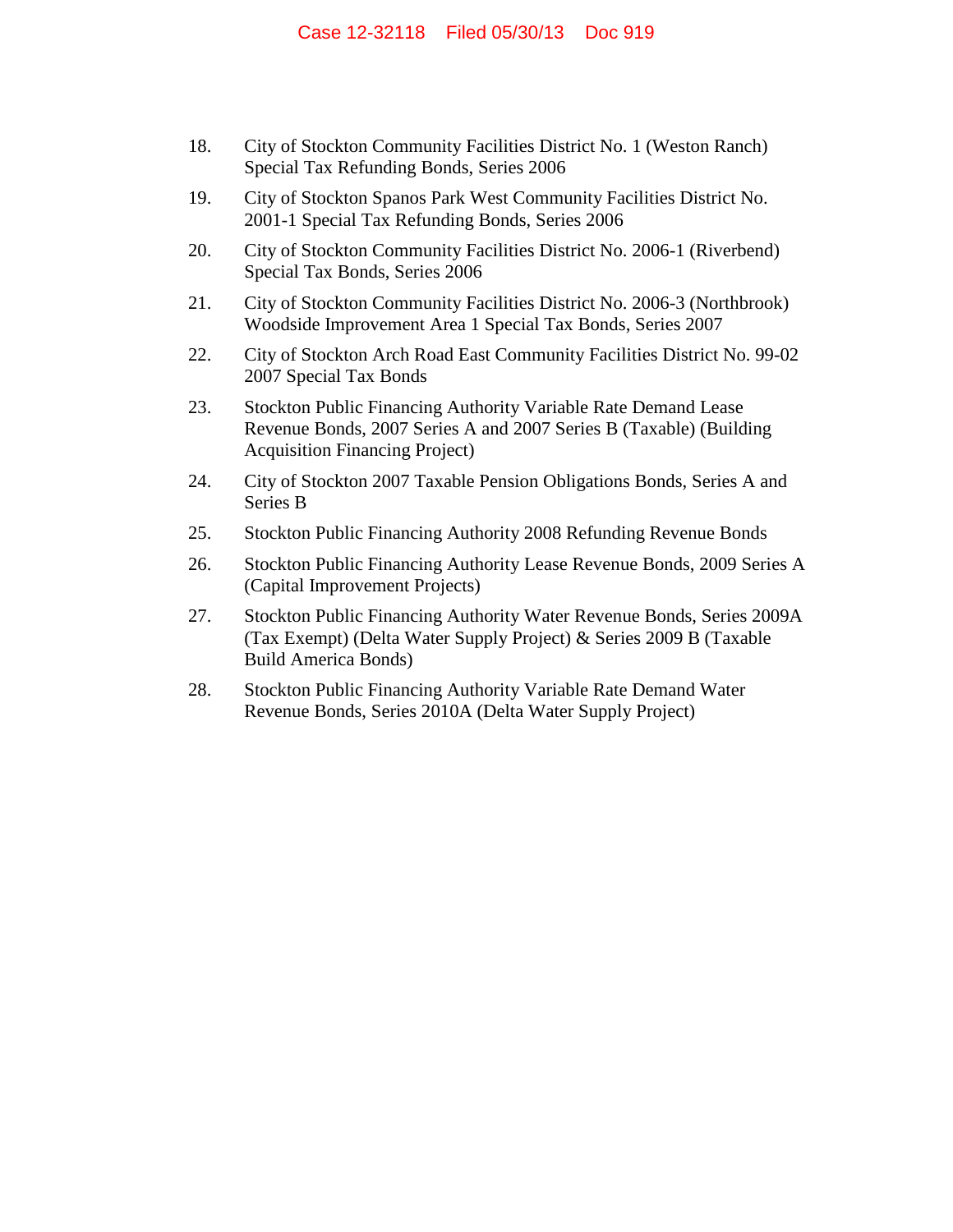- 18. City of Stockton Community Facilities District No. 1 (Weston Ranch) Special Tax Refunding Bonds, Series 2006
- 19. City of Stockton Spanos Park West Community Facilities District No. 2001-1 Special Tax Refunding Bonds, Series 2006
- 20. City of Stockton Community Facilities District No. 2006-1 (Riverbend) Special Tax Bonds, Series 2006
- 21. City of Stockton Community Facilities District No. 2006-3 (Northbrook) Woodside Improvement Area 1 Special Tax Bonds, Series 2007
- 22. City of Stockton Arch Road East Community Facilities District No. 99-02 2007 Special Tax Bonds
- 23. Stockton Public Financing Authority Variable Rate Demand Lease Revenue Bonds, 2007 Series A and 2007 Series B (Taxable) (Building Acquisition Financing Project)
- 24. City of Stockton 2007 Taxable Pension Obligations Bonds, Series A and Series B
- 25. Stockton Public Financing Authority 2008 Refunding Revenue Bonds
- 26. Stockton Public Financing Authority Lease Revenue Bonds, 2009 Series A (Capital Improvement Projects)
- 27. Stockton Public Financing Authority Water Revenue Bonds, Series 2009A (Tax Exempt) (Delta Water Supply Project) & Series 2009 B (Taxable Build America Bonds)
- 28. Stockton Public Financing Authority Variable Rate Demand Water Revenue Bonds, Series 2010A (Delta Water Supply Project)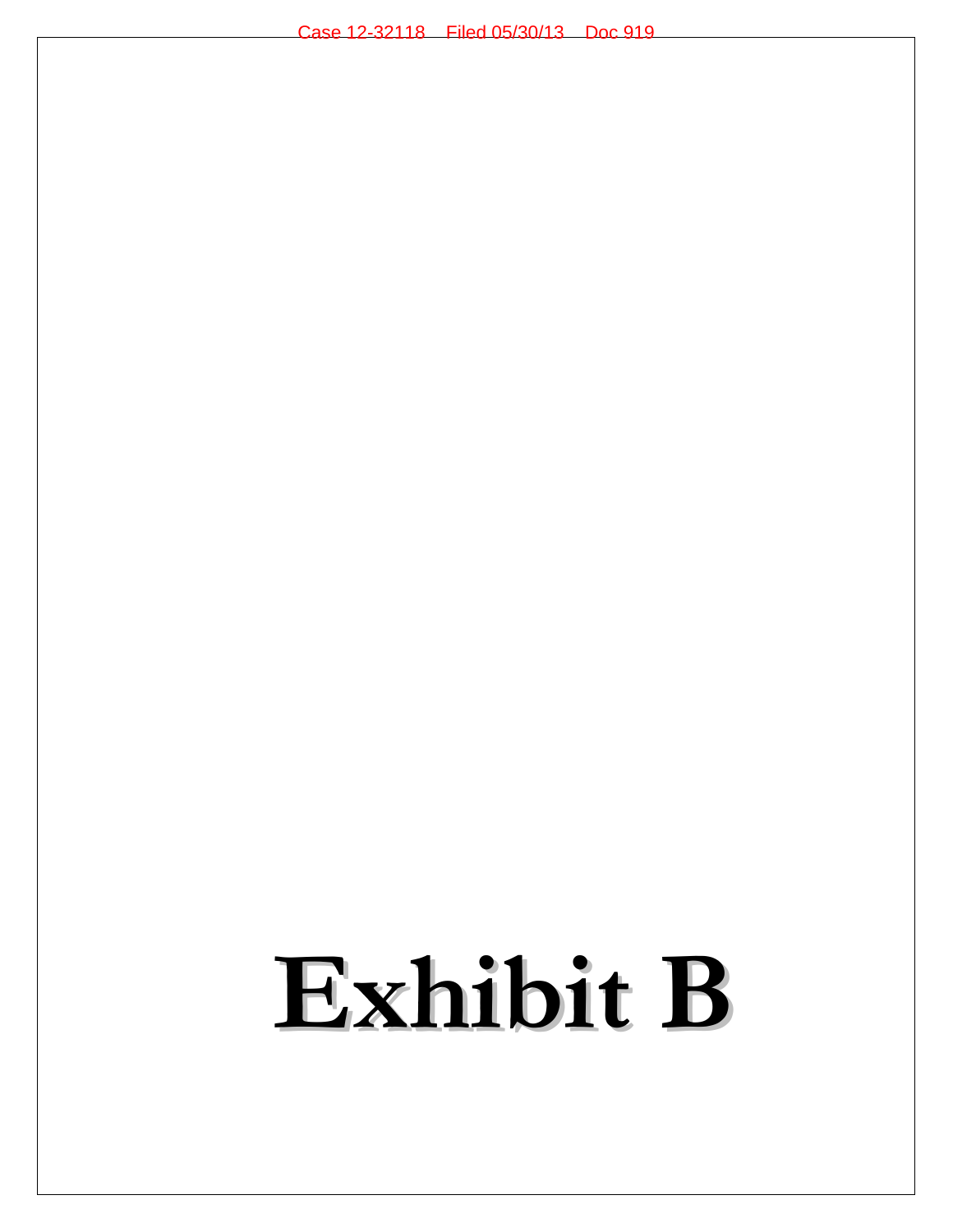## **Exhibit B**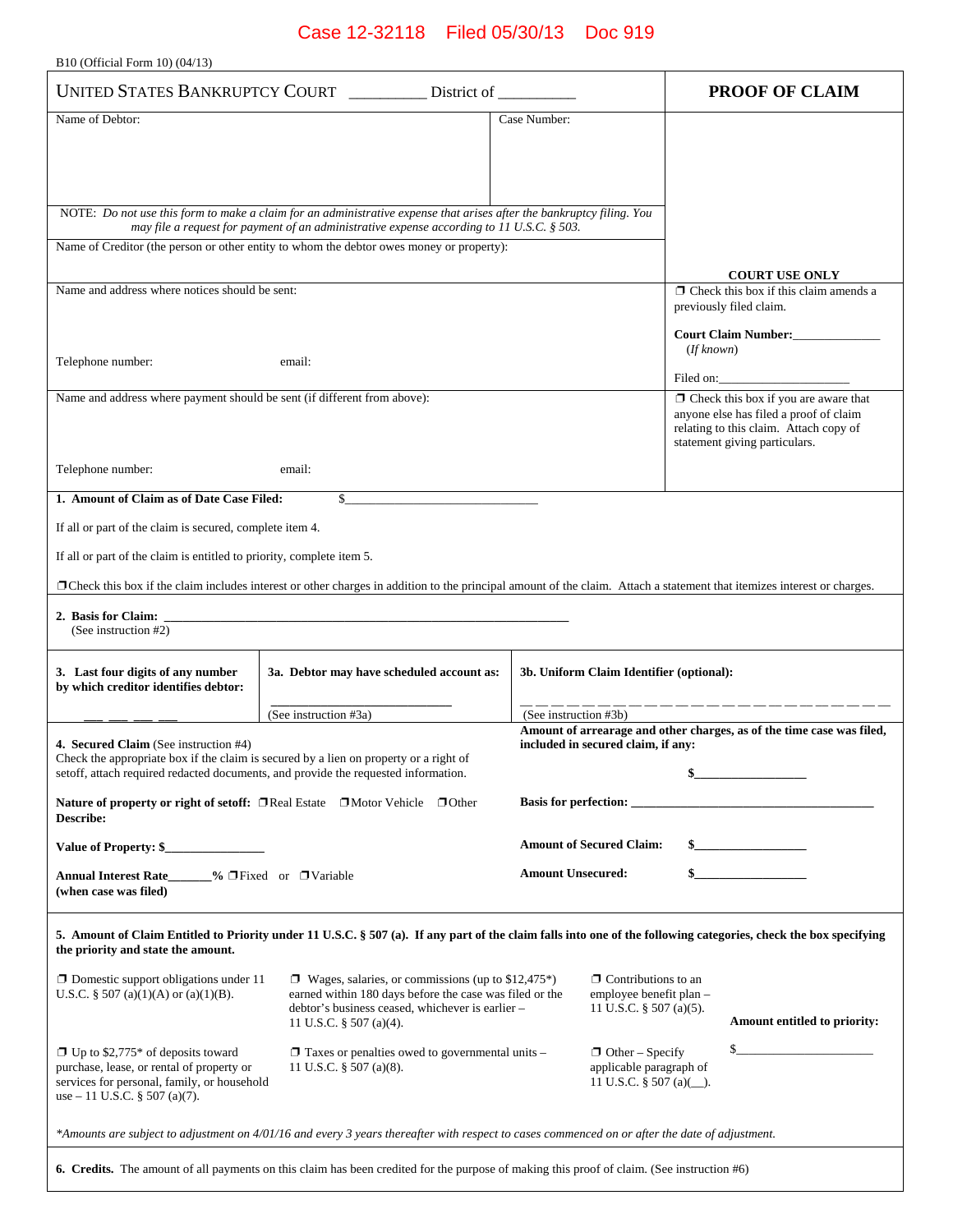B10 (Official Form 10) (04/13)

| UNITED STATES BANKRUPTCY COURT                                                                                                                                                                         |                                                                                                                                                                                                                    | District of                                                                      | <b>PROOF OF CLAIM</b>                                                                                                                                            |
|--------------------------------------------------------------------------------------------------------------------------------------------------------------------------------------------------------|--------------------------------------------------------------------------------------------------------------------------------------------------------------------------------------------------------------------|----------------------------------------------------------------------------------|------------------------------------------------------------------------------------------------------------------------------------------------------------------|
| Name of Debtor:                                                                                                                                                                                        |                                                                                                                                                                                                                    | Case Number:                                                                     |                                                                                                                                                                  |
|                                                                                                                                                                                                        |                                                                                                                                                                                                                    |                                                                                  |                                                                                                                                                                  |
|                                                                                                                                                                                                        |                                                                                                                                                                                                                    |                                                                                  |                                                                                                                                                                  |
|                                                                                                                                                                                                        | NOTE: Do not use this form to make a claim for an administrative expense that arises after the bankruptcy filing. You<br>may file a request for payment of an administrative expense according to 11 U.S.C. § 503. |                                                                                  |                                                                                                                                                                  |
|                                                                                                                                                                                                        | Name of Creditor (the person or other entity to whom the debtor owes money or property):                                                                                                                           |                                                                                  |                                                                                                                                                                  |
| Name and address where notices should be sent:                                                                                                                                                         |                                                                                                                                                                                                                    |                                                                                  | <b>COURT USE ONLY</b><br>$\Box$ Check this box if this claim amends a                                                                                            |
|                                                                                                                                                                                                        |                                                                                                                                                                                                                    |                                                                                  | previously filed claim.<br>Court Claim Number:____________                                                                                                       |
| Telephone number:                                                                                                                                                                                      | (If known)                                                                                                                                                                                                         |                                                                                  |                                                                                                                                                                  |
|                                                                                                                                                                                                        |                                                                                                                                                                                                                    |                                                                                  | Filed on:                                                                                                                                                        |
| Name and address where payment should be sent (if different from above):                                                                                                                               |                                                                                                                                                                                                                    |                                                                                  | $\Box$ Check this box if you are aware that<br>anyone else has filed a proof of claim<br>relating to this claim. Attach copy of<br>statement giving particulars. |
| Telephone number:                                                                                                                                                                                      | email:                                                                                                                                                                                                             |                                                                                  |                                                                                                                                                                  |
| 1. Amount of Claim as of Date Case Filed:                                                                                                                                                              | \$                                                                                                                                                                                                                 |                                                                                  |                                                                                                                                                                  |
| If all or part of the claim is secured, complete item 4.                                                                                                                                               |                                                                                                                                                                                                                    |                                                                                  |                                                                                                                                                                  |
| If all or part of the claim is entitled to priority, complete item 5.                                                                                                                                  |                                                                                                                                                                                                                    |                                                                                  |                                                                                                                                                                  |
|                                                                                                                                                                                                        | □ Check this box if the claim includes interest or other charges in addition to the principal amount of the claim. Attach a statement that itemizes interest or charges.                                           |                                                                                  |                                                                                                                                                                  |
| 2. Basis for Claim:<br>(See instruction #2)                                                                                                                                                            |                                                                                                                                                                                                                    |                                                                                  |                                                                                                                                                                  |
| 3. Last four digits of any number<br>by which creditor identifies debtor:                                                                                                                              | 3a. Debtor may have scheduled account as:                                                                                                                                                                          | 3b. Uniform Claim Identifier (optional):                                         |                                                                                                                                                                  |
|                                                                                                                                                                                                        | (See instruction #3a)                                                                                                                                                                                              | (See instruction #3b)                                                            | Amount of arrearage and other charges, as of the time case was filed,                                                                                            |
| <b>4. Secured Claim</b> (See instruction #4)                                                                                                                                                           | Check the appropriate box if the claim is secured by a lien on property or a right of                                                                                                                              | included in secured claim, if any:                                               |                                                                                                                                                                  |
|                                                                                                                                                                                                        | setoff, attach required redacted documents, and provide the requested information.                                                                                                                                 |                                                                                  |                                                                                                                                                                  |
| Describe:                                                                                                                                                                                              | Nature of property or right of setoff: □ Real Estate □ Motor Vehicle □ Other                                                                                                                                       |                                                                                  |                                                                                                                                                                  |
| Value of Property: \$                                                                                                                                                                                  |                                                                                                                                                                                                                    | <b>Amount of Secured Claim:</b>                                                  |                                                                                                                                                                  |
| Annual Interest Rate % □ Fixed or □ Variable<br>(when case was filed)                                                                                                                                  |                                                                                                                                                                                                                    | <b>Amount Unsecured:</b>                                                         | $\mathbf{s}$                                                                                                                                                     |
| 5. Amount of Claim Entitled to Priority under 11 U.S.C. § 507 (a). If any part of the claim falls into one of the following categories, check the box specifying<br>the priority and state the amount. |                                                                                                                                                                                                                    |                                                                                  |                                                                                                                                                                  |
| $\Box$ Domestic support obligations under 11<br>U.S.C. § 507 (a)(1)(A) or (a)(1)(B).                                                                                                                   | $\Box$ Wages, salaries, or commissions (up to \$12,475*)<br>earned within 180 days before the case was filed or the<br>debtor's business ceased, whichever is earlier -<br>11 U.S.C. § 507 (a)(4).                 | $\Box$ Contributions to an<br>employee benefit plan -<br>11 U.S.C. § 507 (a)(5). | Amount entitled to priority:                                                                                                                                     |
| $\Box$ Up to \$2,775* of deposits toward<br>purchase, lease, or rental of property or<br>services for personal, family, or household<br>use $-11$ U.S.C. § 507 (a)(7).                                 | $\Box$ Taxes or penalties owed to governmental units –<br>11 U.S.C. $\S$ 507 (a)(8).                                                                                                                               | $\Box$ Other – Specify<br>applicable paragraph of<br>11 U.S.C. $\S$ 507 (a)().   |                                                                                                                                                                  |
| *Amounts are subject to adjustment on 4/01/16 and every 3 years thereafter with respect to cases commenced on or after the date of adjustment.                                                         |                                                                                                                                                                                                                    |                                                                                  |                                                                                                                                                                  |
|                                                                                                                                                                                                        | 6. Credits. The amount of all payments on this claim has been credited for the purpose of making this proof of claim. (See instruction #6)                                                                         |                                                                                  |                                                                                                                                                                  |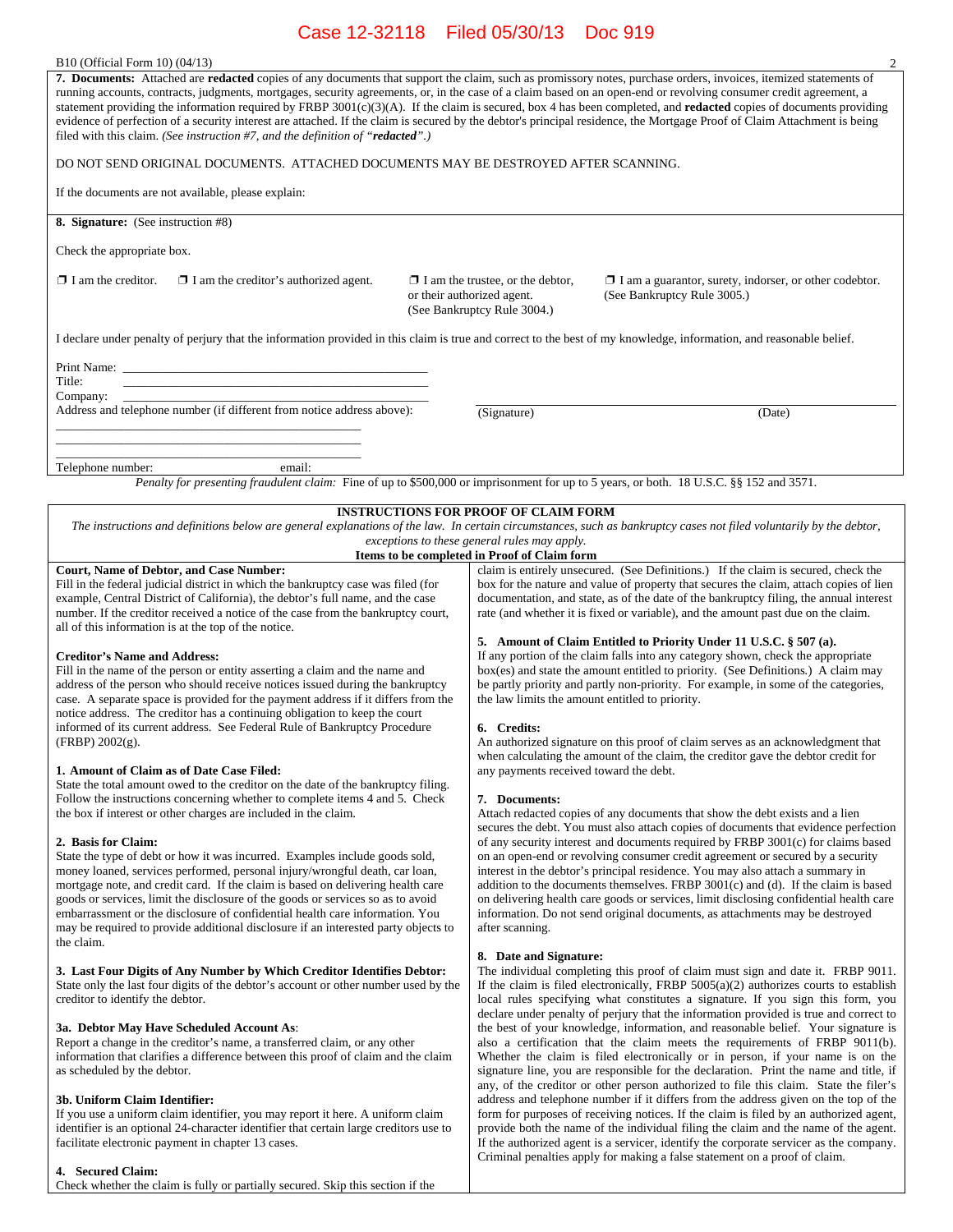| B10 (Official Form 10) (04/13) |
|--------------------------------|
|--------------------------------|

| 7. Documents: Attached are redacted copies of any documents that support the claim, such as promissory notes, purchase orders, invoices, itemized statements of<br>running accounts, contracts, judgments, mortgages, security agreements, or, in the case of a claim based on an open-end or revolving consumer credit agreement, a<br>statement providing the information required by FRBP $3001(c)(3)(A)$ . If the claim is secured, box 4 has been completed, and redacted copies of documents providing<br>evidence of perfection of a security interest are attached. If the claim is secured by the debtor's principal residence, the Mortgage Proof of Claim Attachment is being<br>filed with this claim. (See instruction #7, and the definition of "redacted".) |                                                                                                      |                                                                                              |  |  |
|----------------------------------------------------------------------------------------------------------------------------------------------------------------------------------------------------------------------------------------------------------------------------------------------------------------------------------------------------------------------------------------------------------------------------------------------------------------------------------------------------------------------------------------------------------------------------------------------------------------------------------------------------------------------------------------------------------------------------------------------------------------------------|------------------------------------------------------------------------------------------------------|----------------------------------------------------------------------------------------------|--|--|
| DO NOT SEND ORIGINAL DOCUMENTS. ATTACHED DOCUMENTS MAY BE DESTROYED AFTER SCANNING.                                                                                                                                                                                                                                                                                                                                                                                                                                                                                                                                                                                                                                                                                        |                                                                                                      |                                                                                              |  |  |
| If the documents are not available, please explain:                                                                                                                                                                                                                                                                                                                                                                                                                                                                                                                                                                                                                                                                                                                        |                                                                                                      |                                                                                              |  |  |
| <b>8. Signature:</b> (See instruction #8)                                                                                                                                                                                                                                                                                                                                                                                                                                                                                                                                                                                                                                                                                                                                  |                                                                                                      |                                                                                              |  |  |
| Check the appropriate box.                                                                                                                                                                                                                                                                                                                                                                                                                                                                                                                                                                                                                                                                                                                                                 |                                                                                                      |                                                                                              |  |  |
| $\Box$ I am the creditor.<br>$\Box$ I am the creditor's authorized agent.                                                                                                                                                                                                                                                                                                                                                                                                                                                                                                                                                                                                                                                                                                  | $\Box$ I am the trustee, or the debtor,<br>or their authorized agent.<br>(See Bankruptcy Rule 3004.) | $\Box$ I am a guarantor, surety, indorser, or other codebtor.<br>(See Bankruptcy Rule 3005.) |  |  |
| I declare under penalty of perjury that the information provided in this claim is true and correct to the best of my knowledge, information, and reasonable belief.                                                                                                                                                                                                                                                                                                                                                                                                                                                                                                                                                                                                        |                                                                                                      |                                                                                              |  |  |
| Title:<br>Company:                                                                                                                                                                                                                                                                                                                                                                                                                                                                                                                                                                                                                                                                                                                                                         |                                                                                                      |                                                                                              |  |  |
| Address and telephone number (if different from notice address above):                                                                                                                                                                                                                                                                                                                                                                                                                                                                                                                                                                                                                                                                                                     | (Signature)                                                                                          | (Date)                                                                                       |  |  |
| email:<br>Telephone number:                                                                                                                                                                                                                                                                                                                                                                                                                                                                                                                                                                                                                                                                                                                                                |                                                                                                      |                                                                                              |  |  |
| Penalty for presenting fraudulent claim: Fine of up to \$500,000 or imprisonment for up to 5 years, or both. 18 U.S.C. §§ 152 and 3571.                                                                                                                                                                                                                                                                                                                                                                                                                                                                                                                                                                                                                                    |                                                                                                      |                                                                                              |  |  |
| <b>INSTRUCTIONS FOR PROOF OF CLAIM FORM</b><br>The instructions and definitions below are general explanations of the law. In certain circumstances, such as bankruptcy cases not filed voluntarily by the debtor,<br>exceptions to these general rules may apply.                                                                                                                                                                                                                                                                                                                                                                                                                                                                                                         |                                                                                                      |                                                                                              |  |  |

#### **Court, Name of Debtor, and Case Number:**

Fill in the federal judicial district in which the bankruptcy case was filed (for example, Central District of California), the debtor's full name, and the case number. If the creditor received a notice of the case from the bankruptcy court, all of this information is at the top of the notice.

#### **Creditor's Name and Address:**

Fill in the name of the person or entity asserting a claim and the name and address of the person who should receive notices issued during the bankruptcy case. A separate space is provided for the payment address if it differs from the notice address. The creditor has a continuing obligation to keep the court informed of its current address. See Federal Rule of Bankruptcy Procedure (FRBP) 2002(g).

#### **1. Amount of Claim as of Date Case Filed:**

State the total amount owed to the creditor on the date of the bankruptcy filing. Follow the instructions concerning whether to complete items 4 and 5. Check the box if interest or other charges are included in the claim.

#### **2. Basis for Claim:**

State the type of debt or how it was incurred. Examples include goods sold, money loaned, services performed, personal injury/wrongful death, car loan, mortgage note, and credit card. If the claim is based on delivering health care goods or services, limit the disclosure of the goods or services so as to avoid embarrassment or the disclosure of confidential health care information. You may be required to provide additional disclosure if an interested party objects to the claim.

### **3. Last Four Digits of Any Number by Which Creditor Identifies Debtor:**

State only the last four digits of the debtor's account or other number used by the creditor to identify the debtor.

#### **3a. Debtor May Have Scheduled Account As**:

Report a change in the creditor's name, a transferred claim, or any other information that clarifies a difference between this proof of claim and the claim as scheduled by the debtor.

#### **3b. Uniform Claim Identifier:**

If you use a uniform claim identifier, you may report it here. A uniform claim identifier is an optional 24-character identifier that certain large creditors use to facilitate electronic payment in chapter 13 cases.

#### **4. Secured Claim:**

Check whether the claim is fully or partially secured. Skip this section if the

**Items to be completed in Proof of Claim form**  claim is entirely unsecured. (See Definitions.) If the claim is secured, check the box for the nature and value of property that secures the claim, attach copies of lien documentation, and state, as of the date of the bankruptcy filing, the annual interest rate (and whether it is fixed or variable), and the amount past due on the claim.

#### **5. Amount of Claim Entitled to Priority Under 11 U.S.C. § 507 (a).**

If any portion of the claim falls into any category shown, check the appropriate box(es) and state the amount entitled to priority. (See Definitions*.*) A claim may be partly priority and partly non-priority. For example, in some of the categories, the law limits the amount entitled to priority.

#### **6. Credits:**

An authorized signature on this proof of claim serves as an acknowledgment that when calculating the amount of the claim, the creditor gave the debtor credit for any payments received toward the debt.

#### **7. Documents:**

Attach redacted copies of any documents that show the debt exists and a lien secures the debt. You must also attach copies of documents that evidence perfection of any security interest and documents required by FRBP 3001(c) for claims based on an open-end or revolving consumer credit agreement or secured by a security interest in the debtor's principal residence. You may also attach a summary in addition to the documents themselves. FRBP 3001(c) and (d). If the claim is based on delivering health care goods or services, limit disclosing confidential health care information. Do not send original documents, as attachments may be destroyed after scanning.

#### **8. Date and Signature:**

The individual completing this proof of claim must sign and date it. FRBP 9011. If the claim is filed electronically, FRBP 5005(a)(2) authorizes courts to establish local rules specifying what constitutes a signature. If you sign this form, you declare under penalty of perjury that the information provided is true and correct to the best of your knowledge, information, and reasonable belief. Your signature is also a certification that the claim meets the requirements of FRBP 9011(b). Whether the claim is filed electronically or in person, if your name is on the signature line, you are responsible for the declaration. Print the name and title, if any, of the creditor or other person authorized to file this claim. State the filer's address and telephone number if it differs from the address given on the top of the form for purposes of receiving notices. If the claim is filed by an authorized agent, provide both the name of the individual filing the claim and the name of the agent. If the authorized agent is a servicer, identify the corporate servicer as the company. Criminal penalties apply for making a false statement on a proof of claim.